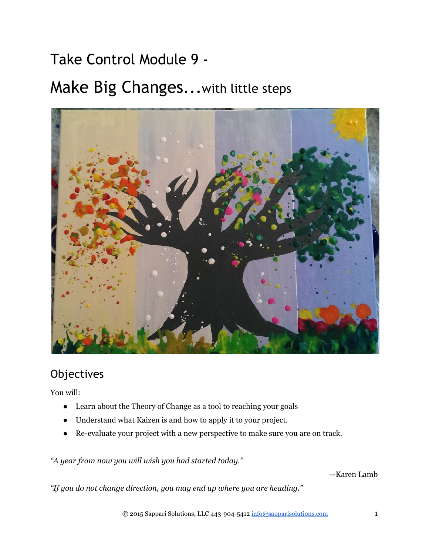# Take Control Module 9 ‐

# Make Big Changes...with little steps



# **Objectives**

You will:

- Learn about the Theory of Change as a tool to reaching your goals
- Understand what Kaizen is and how to apply it to your project.
- Re-evaluate your project with a new perspective to make sure you are on track.

*"A year from now you will wish you had started today."*

--Karen Lamb

*"If you do not change direction, you may end up where you are heading."*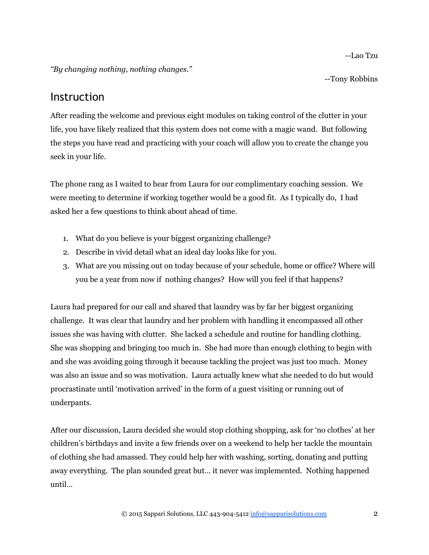Lao Tzu

*"By changing nothing, nothing changes."*

--Tony Robbins

### Instruction

After reading the welcome and previous eight modules on taking control of the clutter in your life, you have likely realized that this system does not come with a magic wand. But following the steps you have read and practicing with your coach will allow you to create the change you seek in your life.

The phone rang as I waited to hear from Laura for our complimentary coaching session. We were meeting to determine if working together would be a good fit. As I typically do, I had asked her a few questions to think about ahead of time.

- 1. What do you believe is your biggest organizing challenge?
- 2. Describe in vivid detail what an ideal day looks like for you.
- 3. What are you missing out on today because of your schedule, home or office? Where will you be a year from now if nothing changes? How will you feel if that happens?

Laura had prepared for our call and shared that laundry was by far her biggest organizing challenge. It was clear that laundry and her problem with handling it encompassed all other issues she was having with clutter. She lacked a schedule and routine for handling clothing. She was shopping and bringing too much in. She had more than enough clothing to begin with and she was avoiding going through it because tackling the project was just too much. Money was also an issue and so was motivation. Laura actually knew what she needed to do but would procrastinate until 'motivation arrived' in the form of a guest visiting or running out of underpants.

After our discussion, Laura decided she would stop clothing shopping, ask for 'no clothes' at her children's birthdays and invite a few friends over on a weekend to help her tackle the mountain of clothing she had amassed. They could help her with washing, sorting, donating and putting away everything. The plan sounded great but… it never was implemented. Nothing happened until…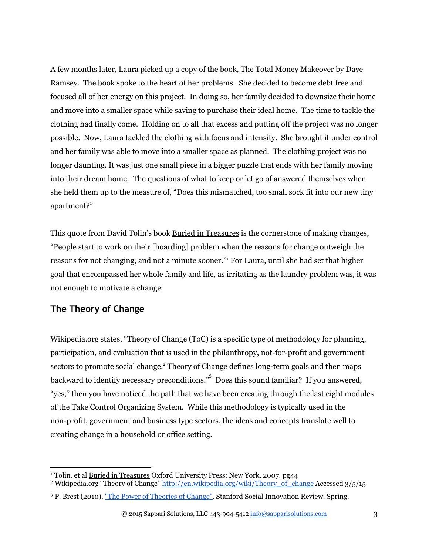A few months later, Laura picked up a copy of the book, The Total Money Makeover by Dave Ramsey. The book spoke to the heart of her problems. She decided to become debt free and focused all of her energy on this project. In doing so, her family decided to downsize their home and move into a smaller space while saving to purchase their ideal home. The time to tackle the clothing had finally come. Holding on to all that excess and putting off the project was no longer possible. Now, Laura tackled the clothing with focus and intensity. She brought it under control and her family was able to move into a smaller space as planned. The clothing project was no longer daunting. It was just one small piece in a bigger puzzle that ends with her family moving into their dream home. The questions of what to keep or let go of answered themselves when she held them up to the measure of, "Does this mismatched, too small sock fit into our new tiny apartment?"

This quote from David Tolin's book Buried in Treasures is the cornerstone of making changes, "People start to work on their [hoarding] problem when the reasons for change outweigh the reasons for not changing, and not a minute sooner." For Laura, until she had set that higher goal that encompassed her whole family and life, as irritating as the laundry problem was, it was not enough to motivate a change.

#### **The Theory of Change**

Wikipedia.org states, "Theory of Change (ToC) is a specific type of methodology for planning, participation, and evaluation that is used in the philanthropy, not-for-profit and government sectors to promote social change.<sup>2</sup> Theory of Change defines long-term goals and then maps backward to identify necessary preconditions."<sup>3</sup> Does this sound familiar? If you answered, "yes," then you have noticed the path that we have been creating through the last eight modules of the Take Control Organizing System. While this methodology is typically used in the non-profit, government and business type sectors, the ideas and concepts translate well to creating change in a household or office setting.

<sup>&</sup>lt;sup>1</sup> Tolin, et al **Buried in Treasures Oxford University Press: New York, 2007. pg44** 

<sup>&</sup>lt;sup>2</sup> Wikipedia.org "Theory of Change" [http://en.wikipedia.org/wiki/Theory\\_of\\_change](http://en.wikipedia.org/wiki/Theory_of_change) Accessed 3/5/15

<sup>&</sup>lt;sup>3</sup> P. Brest (2010). ["The Power of](http://www.ssireview.org/articles/entry/the_power_of_theories_of_change) Theories of Change". Stanford Social Innovation Review. Spring.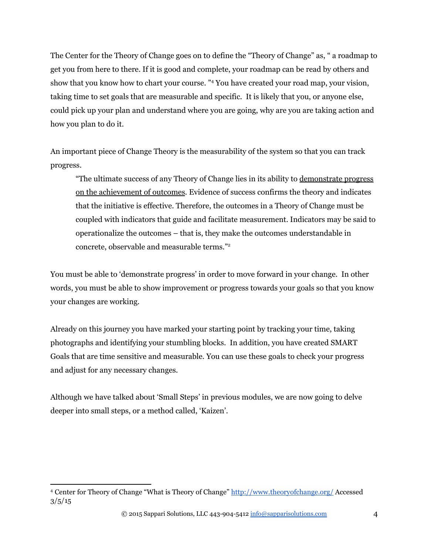The Center for the Theory of Change goes on to define the "Theory of Change" as, " a roadmap to get you from here to there. If it is good and complete, your roadmap can be read by others and show that you know how to chart your course. "<sup>4</sup> You have created your road map, your vision, taking time to set goals that are measurable and specific. It is likely that you, or anyone else, could pick up your plan and understand where you are going, why are you are taking action and how you plan to do it.

An important piece of Change Theory is the measurability of the system so that you can track progress.

"The ultimate success of any Theory of Change lies in its ability to demonstrate progress on the achievement of outcomes. Evidence of success confirms the theory and indicates that the initiative is effective. Therefore, the outcomes in a Theory of Change must be coupled with indicators that guide and facilitate measurement. Indicators may be said to operationalize the outcomes – that is, they make the outcomes understandable in concrete, observable and measurable terms."<sup>2</sup>

You must be able to 'demonstrate progress' in order to move forward in your change. In other words, you must be able to show improvement or progress towards your goals so that you know your changes are working.

Already on this journey you have marked your starting point by tracking your time, taking photographs and identifying your stumbling blocks. In addition, you have created SMART Goals that are time sensitive and measurable. You can use these goals to check your progress and adjust for any necessary changes.

Although we have talked about 'Small Steps' in previous modules, we are now going to delve deeper into small steps, or a method called, 'Kaizen'.

<sup>&</sup>lt;sup>4</sup> Center for Theory of Change "What is Theory of Change"<http://www.theoryofchange.org/> Accessed  $3/5/15$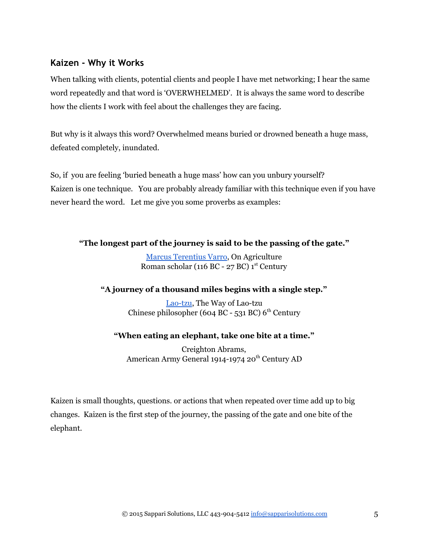#### **Kaizen ‐ Why it Works**

When talking with clients, potential clients and people I have met networking; I hear the same word repeatedly and that word is 'OVERWHELMED'. It is always the same word to describe how the clients I work with feel about the challenges they are facing.

But why is it always this word? Overwhelmed means buried or drowned beneath a huge mass, defeated completely, inundated.

So, if you are feeling 'buried beneath a huge mass' how can you unbury yourself? Kaizen is one technique. You are probably already familiar with this technique even if you have never heard the word. Let me give you some proverbs as examples:

#### **"The longest part of the journey is said to be the passing of the gate."**

[Marcus Terentius Varro,](http://www.quotationspage.com/quotes/Marcus_Terentius_Varro/) On Agriculture Roman scholar (116 BC - 27 BC)  $1<sup>st</sup>$  Century

#### **"A journey of a thousand miles begins with a single step."**

Lao-tzu, The Way of Lao-tzu Chinese philosopher (604 BC - 531 BC)  $6<sup>th</sup>$  Century

#### **"When eating an elephant, take one bite at a time."**

Creighton Abrams, American Army General 1914-1974 20<sup>th</sup> Century AD

Kaizen is small thoughts, questions. or actions that when repeated over time add up to big changes. Kaizen is the first step of the journey, the passing of the gate and one bite of the elephant.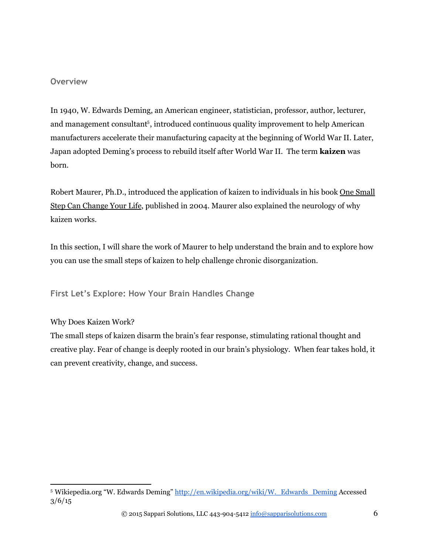#### **Overview**

In 1940, W. Edwards Deming, an American engineer, statistician, professor, author, lecturer, and management consultant<sup>5</sup>, introduced continuous quality improvement to help American manufacturers accelerate their manufacturing capacity at the beginning of World War II. Later, Japan adopted Deming's process to rebuild itself after World War II. The term **kaizen** was born.

Robert Maurer, Ph.D., introduced the application of kaizen to individuals in his book One Small Step Can Change Your Life, published in 2004. Maurer also explained the neurology of why kaizen works.

In this section, I will share the work of Maurer to help understand the brain and to explore how you can use the small steps of kaizen to help challenge chronic disorganization.

**First Let's Explore: How Your Brain Handles Change**

#### Why Does Kaizen Work?

The small steps of kaizen disarm the brain's fear response, stimulating rational thought and creative play. Fear of change is deeply rooted in our brain's physiology. When fear takes hold, it can prevent creativity, change, and success.

<sup>&</sup>lt;sup>5</sup> Wikiepedia.org "W. Edwards Deming" http://en.wikipedia.org/wiki/W. Edwards Deming Accessed  $3/6/15$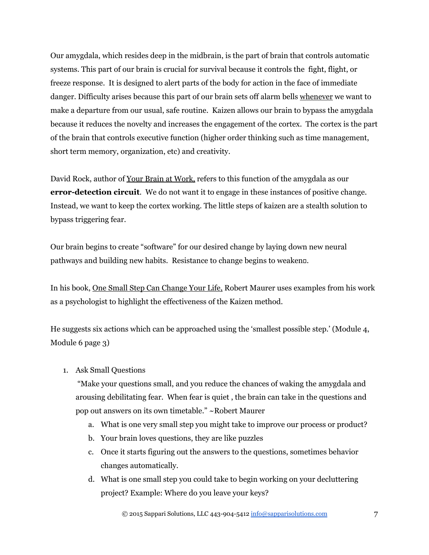Our amygdala, which resides deep in the midbrain, is the part of brain that controls automatic systems. This part of our brain is crucial for survival because it controls the fight, flight, or freeze response. It is designed to alert parts of the body for action in the face of immediate danger. Difficulty arises because this part of our brain sets off alarm bells whenever we want to make a departure from our usual, safe routine. Kaizen allows our brain to bypass the amygdala because it reduces the novelty and increases the engagement of the cortex. The cortex is the part of the brain that controls executive function (higher order thinking such as time management, short term memory, organization, etc) and creativity.

David Rock, author of Your Brain at Work, refers to this function of the amygdala as our **error-detection circuit**. We do not want it to engage in these instances of positive change. Instead, we want to keep the cortex working. The little steps of kaizen are a stealth solution to bypass triggering fear.

Our brain begins to create "software" for our desired change by laying down new neural pathways and building new habits. Resistance to change begins to weaken.

In his book, One Small Step Can Change Your Life, Robert Maurer uses examples from his work as a psychologist to highlight the effectiveness of the Kaizen method.

He suggests six actions which can be approached using the 'smallest possible step.' (Module 4, Module 6 page 3)

1. Ask Small Questions

 "Make your questions small, and you reduce the chances of waking the amygdala and arousing debilitating fear. When fear is quiet , the brain can take in the questions and pop out answers on its own timetable." ~Robert Maurer

- a. What is one very small step you might take to improve our process or product?
- b. Your brain loves questions, they are like puzzles
- c. Once it starts figuring out the answers to the questions, sometimes behavior changes automatically.
- d. What is one small step you could take to begin working on your decluttering project? Example: Where do you leave your keys?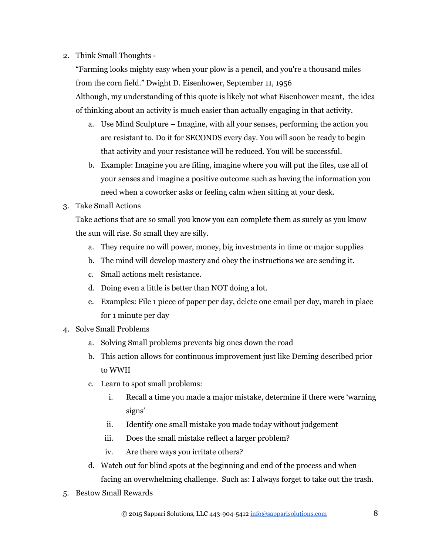#### 2. Think Small Thoughts

"Farming looks mighty easy when your plow is a pencil, and you're a thousand miles from the corn field." Dwight D. Eisenhower, September 11, 1956 Although, my understanding of this quote is likely not what Eisenhower meant, the idea of thinking about an activity is much easier than actually engaging in that activity.

- a. Use Mind Sculpture Imagine, with all your senses, performing the action you are resistant to. Do it for SECONDS every day. You will soon be ready to begin that activity and your resistance will be reduced. You will be successful.
- b. Example: Imagine you are filing, imagine where you will put the files, use all of your senses and imagine a positive outcome such as having the information you need when a coworker asks or feeling calm when sitting at your desk.
- 3. Take Small Actions

Take actions that are so small you know you can complete them as surely as you know the sun will rise. So small they are silly.

- a. They require no will power, money, big investments in time or major supplies
- b. The mind will develop mastery and obey the instructions we are sending it.
- c. Small actions melt resistance.
- d. Doing even a little is better than NOT doing a lot.
- e. Examples: File 1 piece of paper per day, delete one email per day, march in place for 1 minute per day
- 4. Solve Small Problems
	- a. Solving Small problems prevents big ones down the road
	- b. This action allows for continuous improvement just like Deming described prior to WWII
	- c. Learn to spot small problems:
		- i. Recall a time you made a major mistake, determine if there were 'warning signs'
		- ii. Identify one small mistake you made today without judgement
		- iii. Does the small mistake reflect a larger problem?
		- iv. Are there ways you irritate others?
	- d. Watch out for blind spots at the beginning and end of the process and when facing an overwhelming challenge. Such as: I always forget to take out the trash.
- 5. Bestow Small Rewards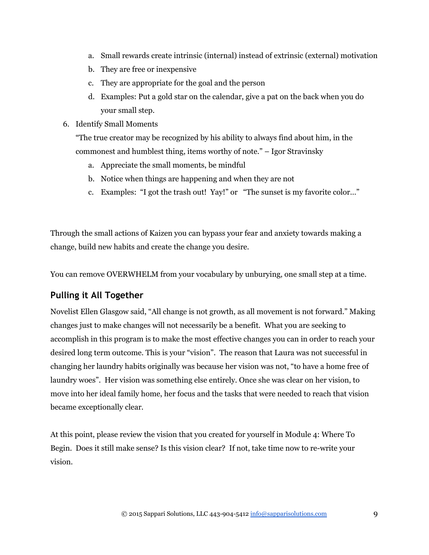- a. Small rewards create intrinsic (internal) instead of extrinsic (external) motivation
- b. They are free or inexpensive
- c. They are appropriate for the goal and the person
- d. Examples: Put a gold star on the calendar, give a pat on the back when you do your small step.
- 6. Identify Small Moments

"The true creator may be recognized by his ability to always find about him, in the commonest and humblest thing, items worthy of note." – Igor Stravinsky

- a. Appreciate the small moments, be mindful
- b. Notice when things are happening and when they are not
- c. Examples: "I got the trash out! Yay!" or "The sunset is my favorite color…"

Through the small actions of Kaizen you can bypass your fear and anxiety towards making a change, build new habits and create the change you desire.

You can remove OVERWHELM from your vocabulary by unburying, one small step at a time.

### **Pulling it All Together**

Novelist Ellen Glasgow said, "All change is not growth, as all movement is not forward." Making changes just to make changes will not necessarily be a benefit. What you are seeking to accomplish in this program is to make the most effective changes you can in order to reach your desired long term outcome. This is your "vision". The reason that Laura was not successful in changing her laundry habits originally was because her vision was not, "to have a home free of laundry woes". Her vision was something else entirely. Once she was clear on her vision, to move into her ideal family home, her focus and the tasks that were needed to reach that vision became exceptionally clear.

At this point, please review the vision that you created for yourself in Module 4: Where To Begin. Does it still make sense? Is this vision clear? If not, take time now to re-write your vision.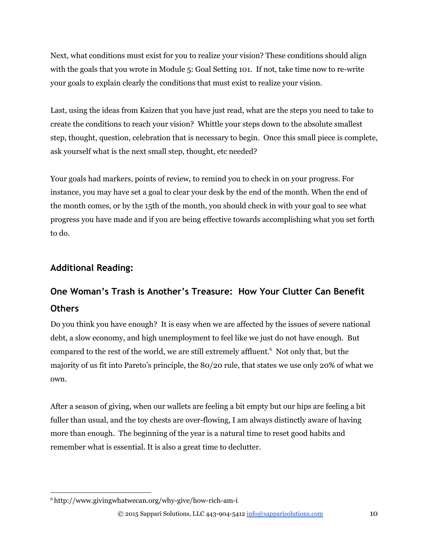Next, what conditions must exist for you to realize your vision? These conditions should align with the goals that you wrote in Module 5: Goal Setting 101. If not, take time now to re-write your goals to explain clearly the conditions that must exist to realize your vision.

Last, using the ideas from Kaizen that you have just read, what are the steps you need to take to create the conditions to reach your vision? Whittle your steps down to the absolute smallest step, thought, question, celebration that is necessary to begin. Once this small piece is complete, ask yourself what is the next small step, thought, etc needed?

Your goals had markers, points of review, to remind you to check in on your progress. For instance, you may have set a goal to clear your desk by the end of the month. When the end of the month comes, or by the 15th of the month, you should check in with your goal to see what progress you have made and if you are being effective towards accomplishing what you set forth to do.

#### **Additional Reading:**

## **One Woman's Trash is Another's Treasure: How Your Clutter Can Benefit Others**

Do you think you have enough? It is easy when we are affected by the issues of severe national debt, a slow economy, and high unemployment to feel like we just do not have enough. But compared to the rest of the world, we are still extremely affluent.<sup>6</sup> Not only that, but the majority of us fit into Pareto's principle, the 80/20 rule, that states we use only 20% of what we own.

After a season of giving, when our wallets are feeling a bit empty but our hips are feeling a bit fuller than usual, and the toy chests are over-flowing, I am always distinctly aware of having more than enough. The beginning of the year is a natural time to reset good habits and remember what is essential. It is also a great time to declutter.

 $6$  http://www.givingwhatwecan.org/why-give/how-rich-am-i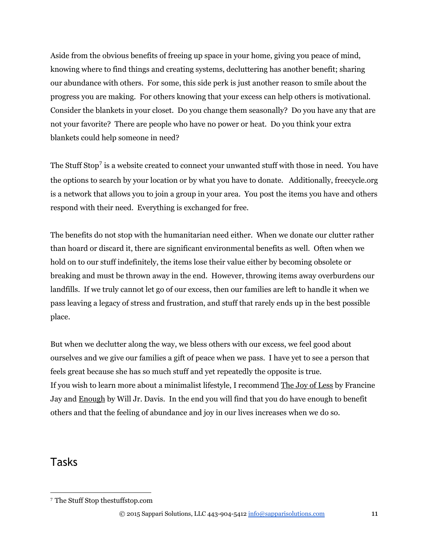Aside from the obvious benefits of freeing up space in your home, giving you peace of mind, knowing where to find things and creating systems, decluttering has another benefit; sharing our abundance with others. For some, this side perk is just another reason to smile about the progress you are making. For others knowing that your excess can help others is motivational. Consider the blankets in your closet. Do you change them seasonally? Do you have any that are not your favorite? There are people who have no power or heat. Do you think your extra blankets could help someone in need?

The Stuff Stop<sup>7</sup> is a website created to connect your unwanted stuff with those in need. You have the options to search by your location or by what you have to donate. Additionally, freecycle.org is a network that allows you to join a group in your area. You post the items you have and others respond with their need. Everything is exchanged for free.

The benefits do not stop with the humanitarian need either. When we donate our clutter rather than hoard or discard it, there are significant environmental benefits as well. Often when we hold on to our stuff indefinitely, the items lose their value either by becoming obsolete or breaking and must be thrown away in the end. However, throwing items away overburdens our landfills. If we truly cannot let go of our excess, then our families are left to handle it when we pass leaving a legacy of stress and frustration, and stuff that rarely ends up in the best possible place.

But when we declutter along the way, we bless others with our excess, we feel good about ourselves and we give our families a gift of peace when we pass. I have yet to see a person that feels great because she has so much stuff and yet repeatedly the opposite is true. If you wish to learn more about a minimalist lifestyle, I recommend The Joy of Less by Francine Jay and **Enough** by Will Jr. Davis. In the end you will find that you do have enough to benefit others and that the feeling of abundance and joy in our lives increases when we do so.

## Tasks

<sup>7</sup> The Stuff Stop thestuffstop.com